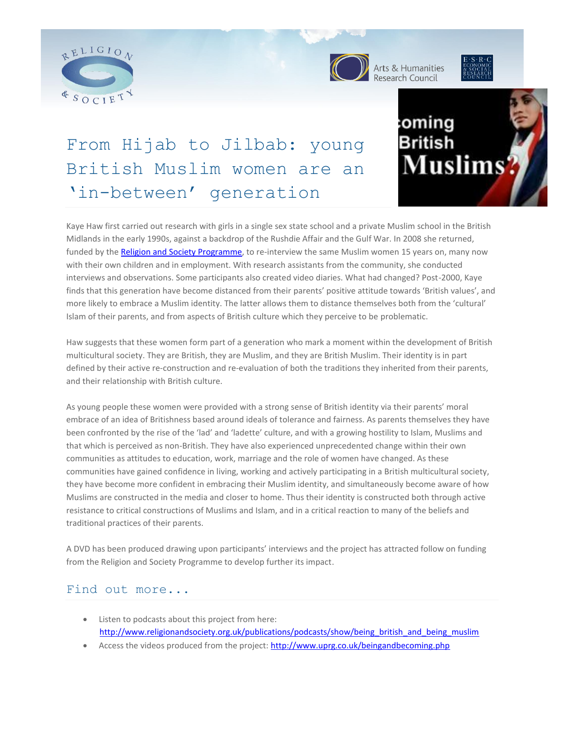



Arts & Humanities<br>Research Council



# From Hijab to Jilbab: young British Muslim women are an 'in-between' generation



Kaye Haw first carried out research with girls in a single sex state school and a private Muslim school in the British Midlands in the early 1990s, against a backdrop of the Rushdie Affair and the Gulf War. In 2008 she returned, funded by the [Religion and Society Programme,](http://www.religionandsociety.org.uk/) to re-interview the same Muslim women 15 years on, many now with their own children and in employment. With research assistants from the community, she conducted interviews and observations. Some participants also created video diaries. What had changed? Post-2000, Kaye finds that this generation have become distanced from their parents' positive attitude towards 'British values', and more likely to embrace a Muslim identity. The latter allows them to distance themselves both from the 'cultural' Islam of their parents, and from aspects of British culture which they perceive to be problematic.

Haw suggests that these women form part of a generation who mark a moment within the development of British multicultural society. They are British, they are Muslim, and they are British Muslim. Their identity is in part defined by their active re-construction and re-evaluation of both the traditions they inherited from their parents, and their relationship with British culture.

As young people these women were provided with a strong sense of British identity via their parents' moral embrace of an idea of Britishness based around ideals of tolerance and fairness. As parents themselves they have been confronted by the rise of the 'lad' and 'ladette' culture, and with a growing hostility to Islam, Muslims and that which is perceived as non-British. They have also experienced unprecedented change within their own communities as attitudes to education, work, marriage and the role of women have changed. As these communities have gained confidence in living, working and actively participating in a British multicultural society, they have become more confident in embracing their Muslim identity, and simultaneously become aware of how Muslims are constructed in the media and closer to home. Thus their identity is constructed both through active resistance to critical constructions of Muslims and Islam, and in a critical reaction to many of the beliefs and traditional practices of their parents.

A DVD has been produced drawing upon participants' interviews and the project has attracted follow on funding from the Religion and Society Programme to develop further its impact.

## Find out more...

- Listen to podcasts about this project from here: [http://www.religionandsociety.org.uk/publications/podcasts/show/being\\_british\\_and\\_being\\_muslim](http://www.religionandsociety.org.uk/publications/podcasts/show/being_british_and_being_muslim)
- Access the videos produced from the project: <http://www.uprg.co.uk/beingandbecoming.php>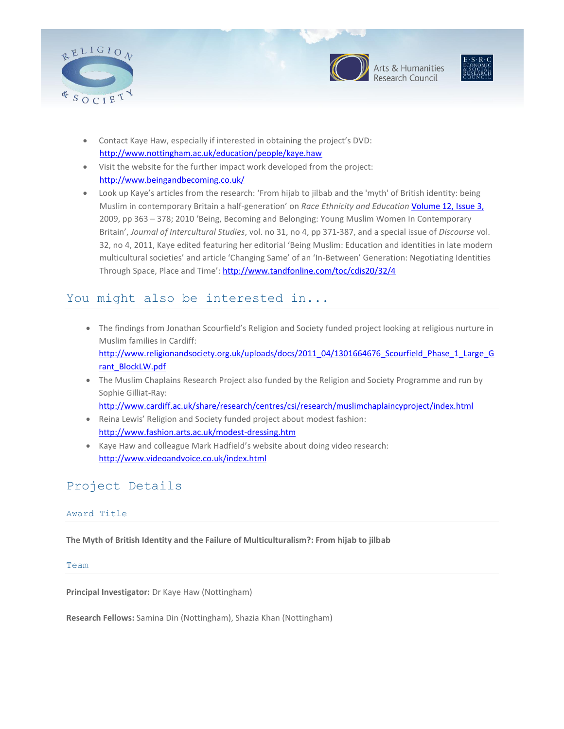







- Contact Kaye Haw, especially if interested in obtaining the project's DVD: <http://www.nottingham.ac.uk/education/people/kaye.haw>
- Visit the website for the further impact work developed from the project: <http://www.beingandbecoming.co.uk/>
- Look up Kaye's articles from the research: 'From hijab to jilbab and the 'myth' of British identity: being Muslim in contemporary Britain a half-generation' on *Race Ethnicity and Education* [Volume 12, Issue 3,](http://www.informaworld.com/smpp/title~db=all~content=t713443511~tab=issueslist~branches=12)  2009, pp 363 – 378; 2010 'Being, Becoming and Belonging: Young Muslim Women In Contemporary Britain', *Journal of Intercultural Studies*, vol. no 31, no 4, pp 371-387, and a special issue of *Discourse* vol. 32, no 4, 2011, Kaye edited featuring her editorial 'Being Muslim: Education and identities in late modern multicultural societies' and article 'Changing Same' of an 'In-Between' Generation: Negotiating Identities Through Space, Place and Time': <http://www.tandfonline.com/toc/cdis20/32/4>

## You might also be interested in...

- The findings from Jonathan Scourfield's Religion and Society funded project looking at religious nurture in Muslim families in Cardiff: [http://www.religionandsociety.org.uk/uploads/docs/2011\\_04/1301664676\\_Scourfield\\_Phase\\_1\\_Large\\_G](http://www.religionandsociety.org.uk/uploads/docs/2011_04/1301664676_Scourfield_Phase_1_Large_Grant_BlockLW.pdf) [rant\\_BlockLW.pdf](http://www.religionandsociety.org.uk/uploads/docs/2011_04/1301664676_Scourfield_Phase_1_Large_Grant_BlockLW.pdf)
- The Muslim Chaplains Research Project also funded by the Religion and Society Programme and run by Sophie Gilliat-Ray:

<http://www.cardiff.ac.uk/share/research/centres/csi/research/muslimchaplaincyproject/index.html>

- Reina Lewis' Religion and Society funded project about modest fashion: <http://www.fashion.arts.ac.uk/modest-dressing.htm>
- Kaye Haw and colleague Mark Hadfield's website about doing video research: <http://www.videoandvoice.co.uk/index.html>

## Project Details

#### Award Title

**The Myth of British Identity and the Failure of Multiculturalism?: From hijab to jilbab**

#### Team

**Principal Investigator:** Dr Kaye Haw (Nottingham)

**Research Fellows:** Samina Din (Nottingham), Shazia Khan (Nottingham)